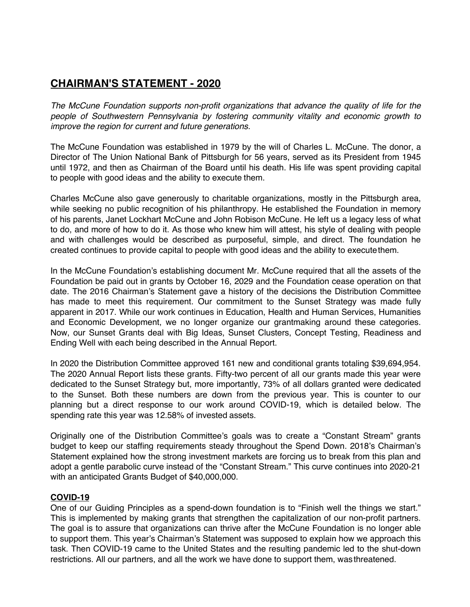## **CHAIRMAN'S STATEMENT - 2020**

*The McCune Foundation supports non-profit organizations that advance the quality of life for the people of Southwestern Pennsylvania by fostering community vitality and economic growth to improve the region for current and future generations.*

The McCune Foundation was established in 1979 by the will of Charles L. McCune. The donor, a Director of The Union National Bank of Pittsburgh for 56 years, served as its President from 1945 until 1972, and then as Chairman of the Board until his death. His life was spent providing capital to people with good ideas and the ability to execute them.

Charles McCune also gave generously to charitable organizations, mostly in the Pittsburgh area, while seeking no public recognition of his philanthropy. He established the Foundation in memory of his parents, Janet Lockhart McCune and John Robison McCune. He left us a legacy less of what to do, and more of how to do it. As those who knew him will attest, his style of dealing with people and with challenges would be described as purposeful, simple, and direct. The foundation he created continues to provide capital to people with good ideas and the ability to executethem.

In the McCune Foundation's establishing document Mr. McCune required that all the assets of the Foundation be paid out in grants by October 16, 2029 and the Foundation cease operation on that date. The 2016 Chairman's Statement gave a history of the decisions the Distribution Committee has made to meet this requirement. Our commitment to the Sunset Strategy was made fully apparent in 2017. While our work continues in Education, Health and Human Services, Humanities and Economic Development, we no longer organize our grantmaking around these categories. Now, our Sunset Grants deal with Big Ideas, Sunset Clusters, Concept Testing, Readiness and Ending Well with each being described in the Annual Report.

In 2020 the Distribution Committee approved 161 new and conditional grants totaling \$39,694,954. The 2020 Annual Report lists these grants. Fifty-two percent of all our grants made this year were dedicated to the Sunset Strategy but, more importantly, 73% of all dollars granted were dedicated to the Sunset. Both these numbers are down from the previous year. This is counter to our planning but a direct response to our work around COVID-19, which is detailed below. The spending rate this year was 12.58% of invested assets.

Originally one of the Distribution Committee's goals was to create a "Constant Stream" grants budget to keep our staffing requirements steady throughout the Spend Down. 2018's Chairman's Statement explained how the strong investment markets are forcing us to break from this plan and adopt a gentle parabolic curve instead of the "Constant Stream." This curve continues into 2020-21 with an anticipated Grants Budget of \$40,000,000.

## **COVID-19**

One of our Guiding Principles as a spend-down foundation is to "Finish well the things we start." This is implemented by making grants that strengthen the capitalization of our non-profit partners. The goal is to assure that organizations can thrive after the McCune Foundation is no longer able to support them. This year's Chairman's Statement was supposed to explain how we approach this task. Then COVID-19 came to the United States and the resulting pandemic led to the shut-down restrictions. All our partners, and all the work we have done to support them, wasthreatened.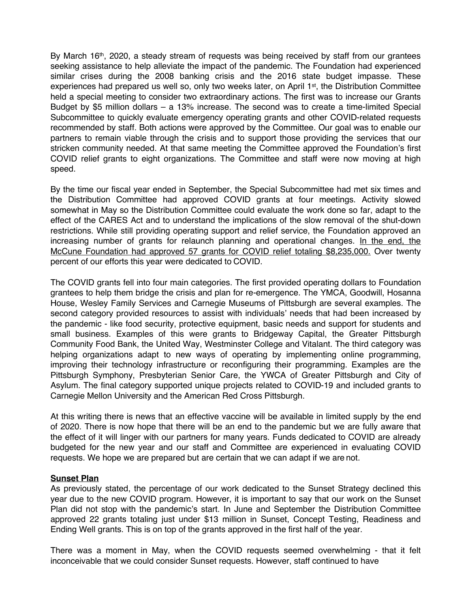By March 16<sup>th</sup>, 2020, a steady stream of requests was being received by staff from our grantees seeking assistance to help alleviate the impact of the pandemic. The Foundation had experienced similar crises during the 2008 banking crisis and the 2016 state budget impasse. These experiences had prepared us well so, only two weeks later, on April 1<sup>st</sup>, the Distribution Committee held a special meeting to consider two extraordinary actions. The first was to increase our Grants Budget by \$5 million dollars – a 13% increase. The second was to create a time-limited Special Subcommittee to quickly evaluate emergency operating grants and other COVID-related requests recommended by staff. Both actions were approved by the Committee. Our goal was to enable our partners to remain viable through the crisis and to support those providing the services that our stricken community needed. At that same meeting the Committee approved the Foundation's first COVID relief grants to eight organizations. The Committee and staff were now moving at high speed.

By the time our fiscal year ended in September, the Special Subcommittee had met six times and the Distribution Committee had approved COVID grants at four meetings. Activity slowed somewhat in May so the Distribution Committee could evaluate the work done so far, adapt to the effect of the CARES Act and to understand the implications of the slow removal of the shut-down restrictions. While still providing operating support and relief service, the Foundation approved an increasing number of grants for relaunch planning and operational changes. In the end, the McCune Foundation had approved 57 grants for COVID relief totaling \$8,235,000. Over twenty percent of our efforts this year were dedicated to COVID.

The COVID grants fell into four main categories. The first provided operating dollars to Foundation grantees to help them bridge the crisis and plan for re-emergence. The YMCA, Goodwill, Hosanna House, Wesley Family Services and Carnegie Museums of Pittsburgh are several examples. The second category provided resources to assist with individuals' needs that had been increased by the pandemic - like food security, protective equipment, basic needs and support for students and small business. Examples of this were grants to Bridgeway Capital, the Greater Pittsburgh Community Food Bank, the United Way, Westminster College and Vitalant. The third category was helping organizations adapt to new ways of operating by implementing online programming, improving their technology infrastructure or reconfiguring their programming. Examples are the Pittsburgh Symphony, Presbyterian Senior Care, the YWCA of Greater Pittsburgh and City of Asylum. The final category supported unique projects related to COVID-19 and included grants to Carnegie Mellon University and the American Red Cross Pittsburgh.

At this writing there is news that an effective vaccine will be available in limited supply by the end of 2020. There is now hope that there will be an end to the pandemic but we are fully aware that the effect of it will linger with our partners for many years. Funds dedicated to COVID are already budgeted for the new year and our staff and Committee are experienced in evaluating COVID requests. We hope we are prepared but are certain that we can adapt if we are not.

## **Sunset Plan**

As previously stated, the percentage of our work dedicated to the Sunset Strategy declined this year due to the new COVID program. However, it is important to say that our work on the Sunset Plan did not stop with the pandemic's start. In June and September the Distribution Committee approved 22 grants totaling just under \$13 million in Sunset, Concept Testing, Readiness and Ending Well grants. This is on top of the grants approved in the first half of the year.

There was a moment in May, when the COVID requests seemed overwhelming - that it felt inconceivable that we could consider Sunset requests. However, staff continued to have